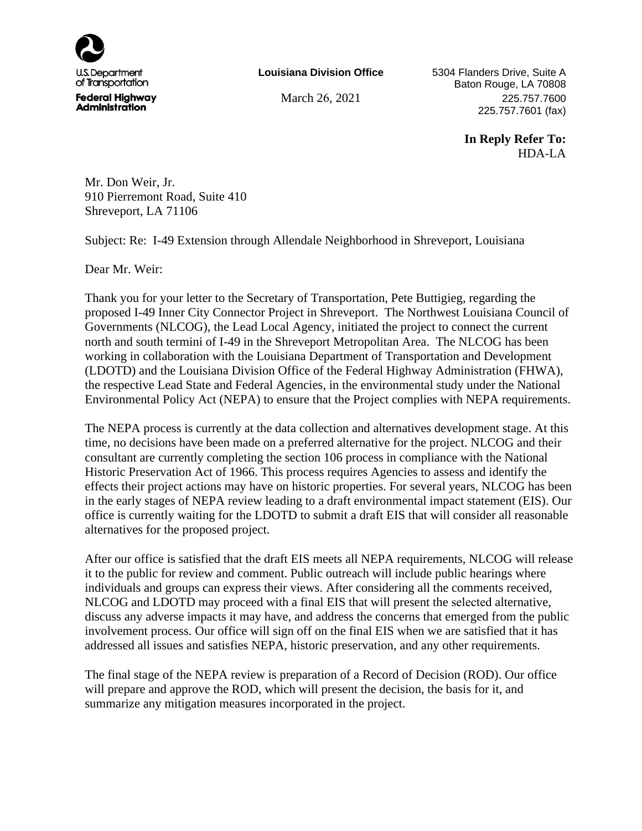

**Louisiana Division Office**

5304 Flanders Drive, Suite A Baton Rouge, LA 70808 March 26, 2021 225.757.7600 225.757.7601 (fax)

> **In Reply Refer To:** HDA-LA

Mr. Don Weir, Jr. 910 Pierremont Road, Suite 410 Shreveport, LA 71106

Subject: Re: I-49 Extension through Allendale Neighborhood in Shreveport, Louisiana

Dear Mr. Weir:

Thank you for your letter to the Secretary of Transportation, Pete Buttigieg, regarding the proposed I-49 Inner City Connector Project in Shreveport. The Northwest Louisiana Council of Governments (NLCOG), the Lead Local Agency, initiated the project to connect the current north and south termini of I-49 in the Shreveport Metropolitan Area. The NLCOG has been working in collaboration with the Louisiana Department of Transportation and Development (LDOTD) and the Louisiana Division Office of the Federal Highway Administration (FHWA), the respective Lead State and Federal Agencies, in the environmental study under the National Environmental Policy Act (NEPA) to ensure that the Project complies with NEPA requirements.

The NEPA process is currently at the data collection and alternatives development stage. At this time, no decisions have been made on a preferred alternative for the project. NLCOG and their consultant are currently completing the section 106 process in compliance with the National Historic Preservation Act of 1966. This process requires Agencies to assess and identify the effects their project actions may have on historic properties. For several years, NLCOG has been in the early stages of NEPA review leading to a draft environmental impact statement (EIS). Our office is currently waiting for the LDOTD to submit a draft EIS that will consider all reasonable alternatives for the proposed project.

After our office is satisfied that the draft EIS meets all NEPA requirements, NLCOG will release it to the public for review and comment. Public outreach will include public hearings where individuals and groups can express their views. After considering all the comments received, NLCOG and LDOTD may proceed with a final EIS that will present the selected alternative, discuss any adverse impacts it may have, and address the concerns that emerged from the public involvement process. Our office will sign off on the final EIS when we are satisfied that it has addressed all issues and satisfies NEPA, historic preservation, and any other requirements.

The final stage of the NEPA review is preparation of a Record of Decision (ROD). Our office will prepare and approve the ROD, which will present the decision, the basis for it, and summarize any mitigation measures incorporated in the project.